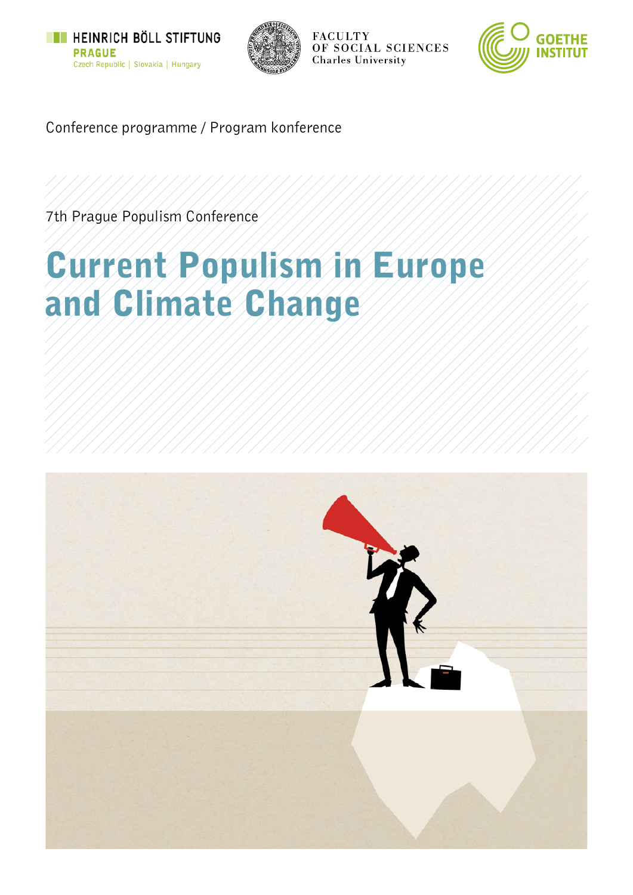



**FACULTY** OF SOCIAL SCIENCES **Charles University** 



Conference programme / Program konference

7th Prague Populism Conference

# Current Populism in Europe and Climate Change

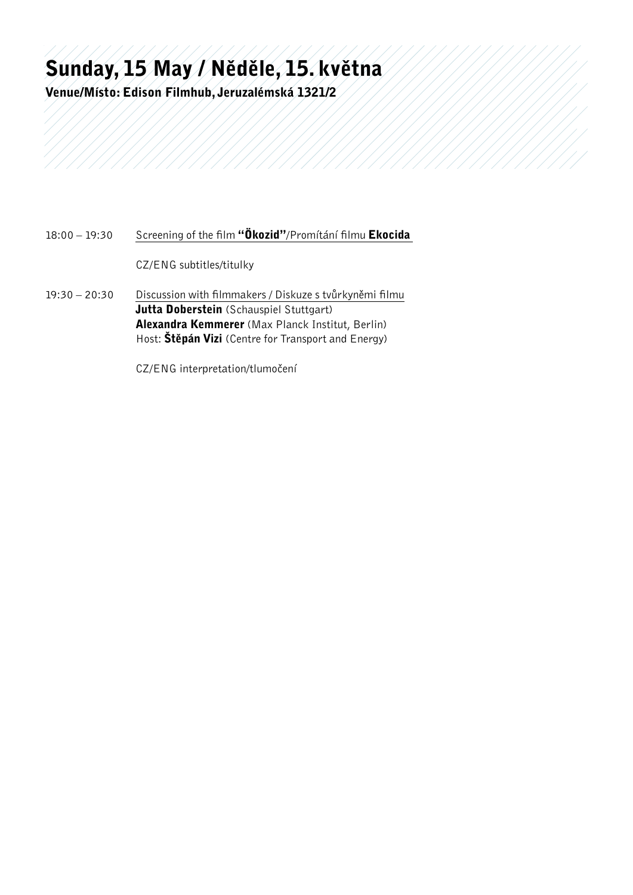## Sunday, 15 May / Něděle, 15. května

Venue/Místo: Edison Filmhub, Jeruzalémská 1321/2

#### 18:00 – 19:30 Screening of the film "Ökozid"/Promítání filmu Ekocida

CZ/ENG subtitles/titulky

19:30 – 20:30 Discussion with filmmakers / Diskuze s tvůrkyněmi filmu Jutta Doberstein (Schauspiel Stuttgart) Alexandra Kemmerer (Max Planck Institut, Berlin) Host:  $\text{Stěpán Vizi}$  (Centre for Transport and Energy)

CZ/ENG interpretation/tlumočení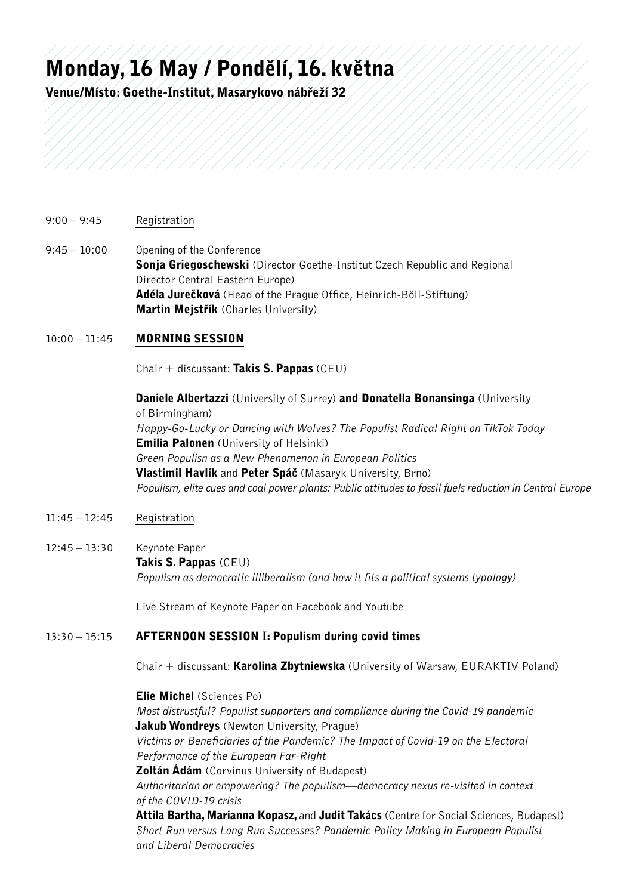### Monday, 16 May / Pondělí, 16. května

Venue/Místo: Goethe-Institut, Masarykovo nábřeží 32

- 9:00 9:45 Registration
- 9:45 10:00 Opening of the Conference Sonja Griegoschewski (Director Goethe-Institut Czech Republic and Regional Director Central Eastern Europe) Adéla Jurečková (Head of the Prague Office, Heinrich-Böll-Stiftung) Martin Mejstřík (Charles University)

#### 10:00 - 11:45 **MORNING SESSION**

Chair + discussant: Takis S. Pappas (CEU)

Daniele Albertazzi (University of Surrey) and Donatella Bonansinga (University of Birmingham) *Happy-Go-Lucky or Dancing with Wolves? The Populist Radical Right on TikTok Today* **Emilia Palonen** (University of Helsinki) *Green Populisn as a New Phenomenon in European Politics* Vlastimil Havlík and Peter Spáč (Masaryk University, Brno) *Populism, elite cues and coal power plants: Public attitudes to fossil fuels reduction in Central Europe*

- 11:45 12:45 Registration
- 12:45 13:30 Keynote Paper Takis S. Pappas (CEU) *Populism as democratic illiberalism (and how it fits a political systems typology)*

Live Stream of Keynote Paper on Facebook and Youtube

#### 13:30 – 15:15 Afternoon Session I: Populism during covid times

Chair + discussant: Karolina Zbytniewska (University of Warsaw, EURAKTIV Poland)

Elie Michel (Sciences Po)

*Most distrustful? Populist supporters and compliance during the Covid-19 pandemic* **Jakub Wondreys** (Newton University, Prague) *Victims or Beneficiaries of the Pandemic? The Impact of Covid-19 on the Electoral Performance of the European Far-Right*

**Zoltán Ádám** (Corvinus University of Budapest) *Authoritarian or empowering? The populism—democracy nexus re-visited in context of the COVID-19 crisis*

Attila Bartha, Marianna Kopasz, and Judit Takács (Centre for Social Sciences, Budapest) *Short Run versus Long Run Successes? Pandemic Policy Making in European Populist and Liberal Democracies*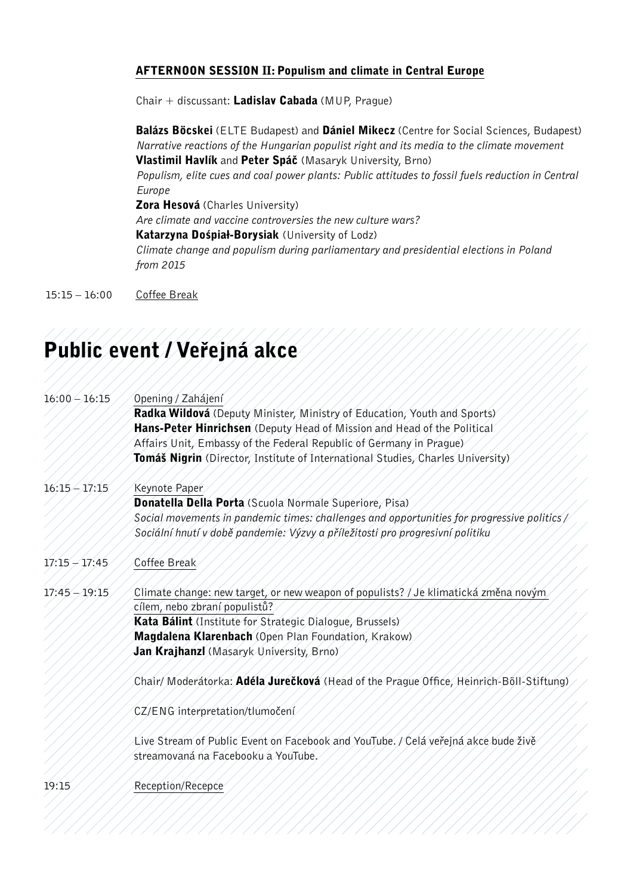#### AFTERNOON SESSION II: Populism and climate in Central Europe

Chair + discussant: **Ladislav Cabada** (MUP, Prague)

**Balázs Böcskei** (ELTE Budapest) and **Dániel Mikecz** (Centre for Social Sciences, Budapest) *Narrative reactions of the Hungarian populist right and its media to the climate movement* Vlastimil Havlík and Peter Spáč (Masaryk University, Brno)

*Populism, elite cues and coal power plants: Public attitudes to fossil fuels reduction in Central Europe*

Zora Hesová (Charles University)

*Are climate and vaccine controversies the new culture wars?*

Katarzyna Dośpiał-Borysiak (University of Lodz)

*Climate change and populism during parliamentary and presidential elections in Poland from 2015*

15:15 – 16:00 Coffee Break

### Public event / Veřejná akce

| $16:00 - 16:15$    | Opening / Zahájení                                                                                                                                                           |
|--------------------|------------------------------------------------------------------------------------------------------------------------------------------------------------------------------|
|                    | Radka Wildová (Deputy Minister, Ministry of Education, Youth and Sports)                                                                                                     |
|                    | Hans-Peter Hinrichsen (Deputy Head of Mission and Head of the Political                                                                                                      |
|                    | Affairs Unit, Embassy of the Federal Republic of Germany in Prague)                                                                                                          |
|                    | <b>Tomáš Nigrin</b> (Director, Institute of International Studies, Charles University)                                                                                       |
| $16:15 - 17:15$    | Keynote Paper                                                                                                                                                                |
|                    | <b>Donatella Della Porta</b> (Scuola Normale Superiore, Pisa)                                                                                                                |
|                    | Social movements in pandemic times: challenges and opportunities for progressive politics /<br>Sociální hnutí v době pandemie: Výzvy a příležitosti pro progresivní politiku |
| $17:15 \neq 17:45$ | Coffee Break                                                                                                                                                                 |
| $17:45 - 19:15$    | Climate change: new target, or new weapon of populists? / Je klimatická změná novým                                                                                          |
|                    | cílém, nebo zbraní populistů?                                                                                                                                                |
|                    | Kata Bálint (Institute for Strategic Dialogue, Brussels)                                                                                                                     |
|                    | Magdalena Klarenbach (Open Plan Foundation, Krakow)                                                                                                                          |
|                    | Jan Krájhanzl (Másáryk Univérsity, Brno)                                                                                                                                     |
|                    | Chair/Moderátorka: Adéla Jurečková (Head of the Prague Office, Heinrich-Böll-Stiftung)                                                                                       |
|                    | CZ/ENG interpretation/tlumočení                                                                                                                                              |
|                    | Live Stream of Public Event on Facebook and YouTube. / Celá veřejná akce bude živě<br>streámovaná na Fácebooku a YouTube.                                                    |
| 19:15              | Reception/Recepce                                                                                                                                                            |
|                    |                                                                                                                                                                              |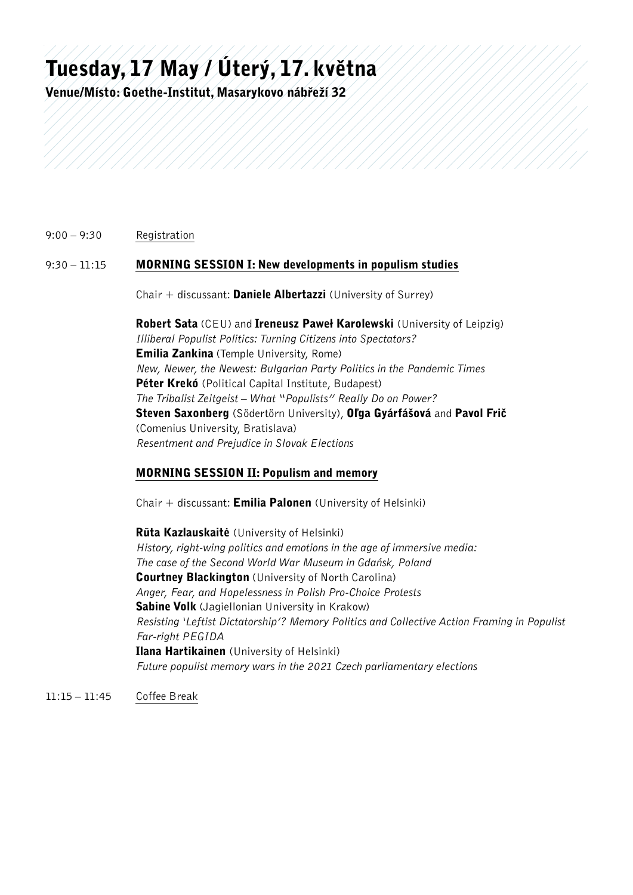## Tuesday, 17 May / Úterý, 17. května

Venue/Místo: Goethe-Institut, Masarykovo nábřeží 32

#### 9:00 – 9:30 Registration

#### 9:30 – 11:15 MORNING SESSION I: New developments in populism studies

Chair  $+$  discussant: Daniele Albertazzi (University of Surrey)

Robert Sata (CEU) and Ireneusz Paweł Karolewski (University of Leipzig) *Illiberal Populist Politics: Turning Citizens into Spectators?* Emilia Zankina (Temple University, Rome) *New, Newer, the Newest: Bulgarian Party Politics in the Pandemic Times* Péter Krekó (Political Capital Institute, Budapest) *The Tribalist Zeitgeist – What "Populists" Really Do on Power?* Steven Saxonberg (Södertörn University), Oľga Gyárfášová and Pavol Frič (Comenius University, Bratislava) *Resentment and Prejudice in Slovak Elections*

#### MORNING SESSION II: Populism and memory

Chair  $+$  discussant: **Emilia Palonen** (University of Helsinki)

Rūta Kazlauskaitė (University of Helsinki) *History, right-wing politics and emotions in the age of immersive media: The case of the Second World War Museum in Gdańsk, Poland* **Courtney Blackington** (University of North Carolina) *Anger, Fear, and Hopelessness in Polish Pro-Choice Protests* **Sabine Volk** (Jagiellonian University in Krakow) *Resisting 'Leftist Dictatorship'? Memory Politics and Collective Action Framing in Populist Far-right PEGIDA* Ilana Hartikainen (University of Helsinki) *Future populist memory wars in the 2021 Czech parliamentary elections*

11:15 – 11:45 Coffee Break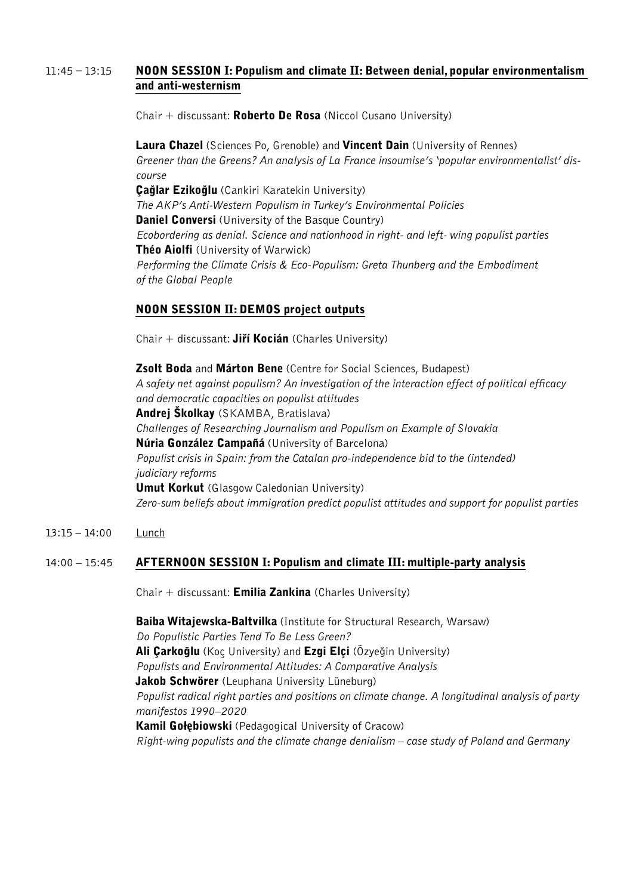#### $11:45 - 13:15$  NOON SESSION I: Populism and climate II: Between denial, popular environmentalism and anti-westernism

Chair  $+$  discussant: **Roberto De Rosa** (Niccol Cusano University)

**Laura Chazel** (Sciences Po, Grenoble) and **Vincent Dain** (University of Rennes) *Greener than the Greens? An analysis of La France insoumise's 'popular environmentalist' discourse* **Çağlar Ezikoğlu** (Cankiri Karatekin University) *The AKP's Anti-Western Populism in Turkey's Environmental Policies* **Daniel Conversi** (University of the Basque Country) *Ecobordering as denial. Science and nationhood in right- and left- wing populist parties* Théo Aiolfi (University of Warwick) *Performing the Climate Crisis & Eco-Populism: Greta Thunberg and the Embodiment of the Global People*

#### Noon Session II: DEMOS project outputs

Chair + discussant: **Jiří Kocián** (Charles University)

**Zsolt Boda** and **Márton Bene** (Centre for Social Sciences, Budapest) *A safety net against populism? An investigation of the interaction effect of political efficacy and democratic capacities on populist attitudes* Andrej Školkay (SKAMBA, Bratislava) *Challenges of Researching Journalism and Populism on Example of Slovakia* Núria González Campañá (University of Barcelona) *Populist crisis in Spain: from the Catalan pro-independence bid to the (intended) judiciary reforms* **Umut Korkut** (Glasgow Caledonian University) *Zero-sum beliefs about immigration predict populist attitudes and support for populist parties*

13:15 – 14:00 Lunch

#### 14:00 – 15:45 Afternoon Session I: Populism and climate III: multiple-party analysis

Chair  $+$  discussant: **Emilia Zankina** (Charles University)

Baiba Witajewska-Baltvilka (Institute for Structural Research, Warsaw) *Do Populistic Parties Tend To Be Less Green?* Ali Çarkoğlu (Koç University) and Ezgi Elçi (Özyeğin University) *Populists and Environmental Attitudes: A Comparative Analysis* **Jakob Schwörer** (Leuphana University Lüneburg) *Populist radical right parties and positions on climate change. A longitudinal analysis of party manifestos 1990–2020* Kamil Gołębiowski (Pedagogical University of Cracow) *Right-wing populists and the climate change denialism – case study of Poland and Germany*